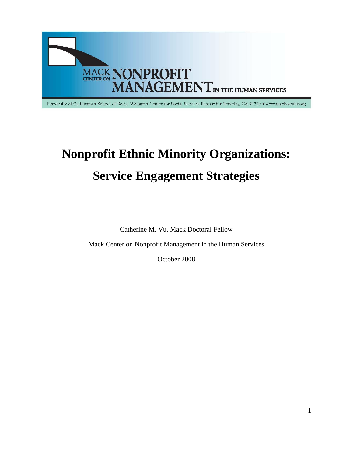

University of California . School of Social Welfare . Center for Social Services Research . Berkeley, CA 90720 . www.mackcenter.org

# **Nonprofit Ethnic Minority Organizations: Service Engagement Strategies**

Catherine M. Vu, Mack Doctoral Fellow

Mack Center on Nonprofit Management in the Human Services

October 2008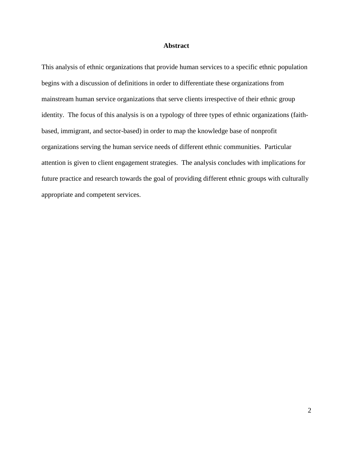# **Abstract**

This analysis of ethnic organizations that provide human services to a specific ethnic population begins with a discussion of definitions in order to differentiate these organizations from mainstream human service organizations that serve clients irrespective of their ethnic group identity. The focus of this analysis is on a typology of three types of ethnic organizations (faithbased, immigrant, and sector-based) in order to map the knowledge base of nonprofit organizations serving the human service needs of different ethnic communities. Particular attention is given to client engagement strategies. The analysis concludes with implications for future practice and research towards the goal of providing different ethnic groups with culturally appropriate and competent services.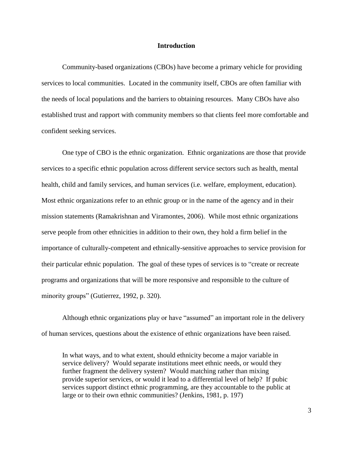# **Introduction**

Community-based organizations (CBOs) have become a primary vehicle for providing services to local communities. Located in the community itself, CBOs are often familiar with the needs of local populations and the barriers to obtaining resources. Many CBOs have also established trust and rapport with community members so that clients feel more comfortable and confident seeking services.

One type of CBO is the ethnic organization. Ethnic organizations are those that provide services to a specific ethnic population across different service sectors such as health, mental health, child and family services, and human services (i.e. welfare, employment, education). Most ethnic organizations refer to an ethnic group or in the name of the agency and in their mission statements (Ramakrishnan and Viramontes, 2006). While most ethnic organizations serve people from other ethnicities in addition to their own, they hold a firm belief in the importance of culturally-competent and ethnically-sensitive approaches to service provision for their particular ethnic population. The goal of these types of services is to "create or recreate programs and organizations that will be more responsive and responsible to the culture of minority groups" (Gutierrez, 1992, p. 320).

Although ethnic organizations play or have "assumed" an important role in the delivery of human services, questions about the existence of ethnic organizations have been raised.

In what ways, and to what extent, should ethnicity become a major variable in service delivery? Would separate institutions meet ethnic needs, or would they further fragment the delivery system? Would matching rather than mixing provide superior services, or would it lead to a differential level of help? If pubic services support distinct ethnic programming, are they accountable to the public at large or to their own ethnic communities? (Jenkins, 1981, p. 197)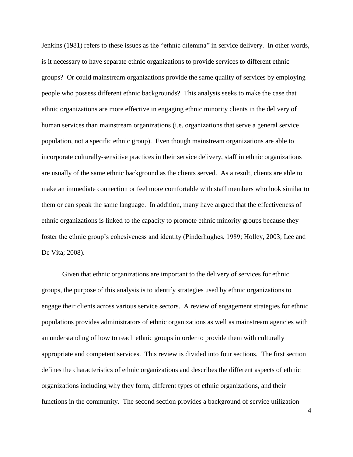Jenkins (1981) refers to these issues as the "ethnic dilemma" in service delivery. In other words, is it necessary to have separate ethnic organizations to provide services to different ethnic groups? Or could mainstream organizations provide the same quality of services by employing people who possess different ethnic backgrounds? This analysis seeks to make the case that ethnic organizations are more effective in engaging ethnic minority clients in the delivery of human services than mainstream organizations (i.e. organizations that serve a general service population, not a specific ethnic group). Even though mainstream organizations are able to incorporate culturally-sensitive practices in their service delivery, staff in ethnic organizations are usually of the same ethnic background as the clients served. As a result, clients are able to make an immediate connection or feel more comfortable with staff members who look similar to them or can speak the same language. In addition, many have argued that the effectiveness of ethnic organizations is linked to the capacity to promote ethnic minority groups because they foster the ethnic group's cohesiveness and identity (Pinderhughes, 1989; Holley, 2003; Lee and De Vita; 2008).

Given that ethnic organizations are important to the delivery of services for ethnic groups, the purpose of this analysis is to identify strategies used by ethnic organizations to engage their clients across various service sectors. A review of engagement strategies for ethnic populations provides administrators of ethnic organizations as well as mainstream agencies with an understanding of how to reach ethnic groups in order to provide them with culturally appropriate and competent services. This review is divided into four sections. The first section defines the characteristics of ethnic organizations and describes the different aspects of ethnic organizations including why they form, different types of ethnic organizations, and their functions in the community. The second section provides a background of service utilization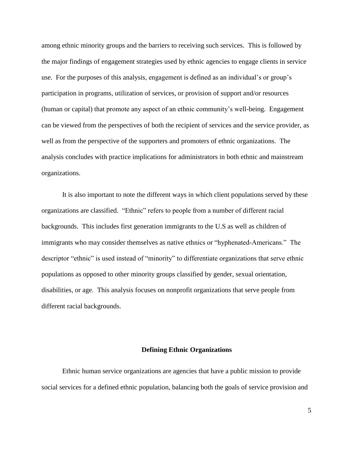among ethnic minority groups and the barriers to receiving such services. This is followed by the major findings of engagement strategies used by ethnic agencies to engage clients in service use. For the purposes of this analysis, engagement is defined as an individual's or group's participation in programs, utilization of services, or provision of support and/or resources (human or capital) that promote any aspect of an ethnic community's well-being. Engagement can be viewed from the perspectives of both the recipient of services and the service provider, as well as from the perspective of the supporters and promoters of ethnic organizations. The analysis concludes with practice implications for administrators in both ethnic and mainstream organizations.

It is also important to note the different ways in which client populations served by these organizations are classified. "Ethnic" refers to people from a number of different racial backgrounds. This includes first generation immigrants to the U.S as well as children of immigrants who may consider themselves as native ethnics or "hyphenated-Americans." The descriptor "ethnic" is used instead of "minority" to differentiate organizations that serve ethnic populations as opposed to other minority groups classified by gender, sexual orientation, disabilities, or age. This analysis focuses on nonprofit organizations that serve people from different racial backgrounds.

#### **Defining Ethnic Organizations**

Ethnic human service organizations are agencies that have a public mission to provide social services for a defined ethnic population, balancing both the goals of service provision and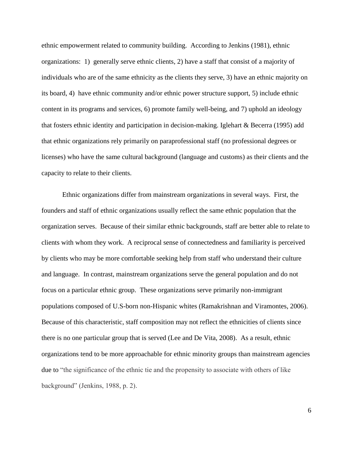ethnic empowerment related to community building. According to Jenkins (1981), ethnic organizations: 1) generally serve ethnic clients, 2) have a staff that consist of a majority of individuals who are of the same ethnicity as the clients they serve, 3) have an ethnic majority on its board, 4) have ethnic community and/or ethnic power structure support, 5) include ethnic content in its programs and services, 6) promote family well-being, and 7) uphold an ideology that fosters ethnic identity and participation in decision-making. Iglehart & Becerra (1995) add that ethnic organizations rely primarily on paraprofessional staff (no professional degrees or licenses) who have the same cultural background (language and customs) as their clients and the capacity to relate to their clients.

Ethnic organizations differ from mainstream organizations in several ways. First, the founders and staff of ethnic organizations usually reflect the same ethnic population that the organization serves. Because of their similar ethnic backgrounds, staff are better able to relate to clients with whom they work. A reciprocal sense of connectedness and familiarity is perceived by clients who may be more comfortable seeking help from staff who understand their culture and language. In contrast, mainstream organizations serve the general population and do not focus on a particular ethnic group. These organizations serve primarily non-immigrant populations composed of U.S-born non-Hispanic whites (Ramakrishnan and Viramontes, 2006). Because of this characteristic, staff composition may not reflect the ethnicities of clients since there is no one particular group that is served (Lee and De Vita, 2008). As a result, ethnic organizations tend to be more approachable for ethnic minority groups than mainstream agencies due to "the significance of the ethnic tie and the propensity to associate with others of like background" (Jenkins, 1988, p. 2).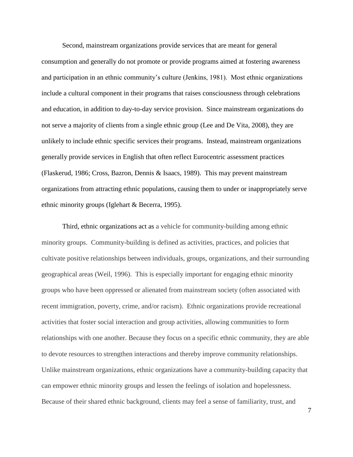Second, mainstream organizations provide services that are meant for general consumption and generally do not promote or provide programs aimed at fostering awareness and participation in an ethnic community's culture (Jenkins, 1981). Most ethnic organizations include a cultural component in their programs that raises consciousness through celebrations and education, in addition to day-to-day service provision. Since mainstream organizations do not serve a majority of clients from a single ethnic group (Lee and De Vita, 2008), they are unlikely to include ethnic specific services their programs. Instead, mainstream organizations generally provide services in English that often reflect Eurocentric assessment practices (Flaskerud, 1986; Cross, Bazron, Dennis & Isaacs, 1989). This may prevent mainstream organizations from attracting ethnic populations, causing them to under or inappropriately serve ethnic minority groups (Iglehart & Becerra, 1995).

Third, ethnic organizations act as a vehicle for community-building among ethnic minority groups. Community-building is defined as activities, practices, and policies that cultivate positive relationships between individuals, groups, organizations, and their surrounding geographical areas (Weil, 1996). This is especially important for engaging ethnic minority groups who have been oppressed or alienated from mainstream society (often associated with recent immigration, poverty, crime, and/or racism). Ethnic organizations provide recreational activities that foster social interaction and group activities, allowing communities to form relationships with one another. Because they focus on a specific ethnic community, they are able to devote resources to strengthen interactions and thereby improve community relationships. Unlike mainstream organizations, ethnic organizations have a community-building capacity that can empower ethnic minority groups and lessen the feelings of isolation and hopelessness. Because of their shared ethnic background, clients may feel a sense of familiarity, trust, and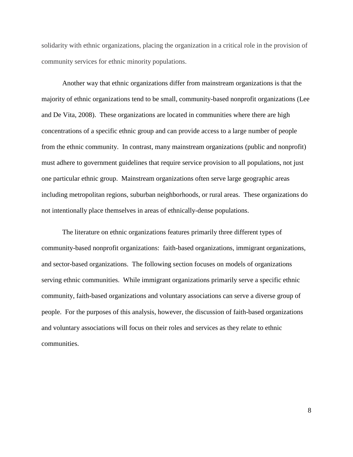solidarity with ethnic organizations, placing the organization in a critical role in the provision of community services for ethnic minority populations.

Another way that ethnic organizations differ from mainstream organizations is that the majority of ethnic organizations tend to be small, community-based nonprofit organizations (Lee and De Vita, 2008). These organizations are located in communities where there are high concentrations of a specific ethnic group and can provide access to a large number of people from the ethnic community. In contrast, many mainstream organizations (public and nonprofit) must adhere to government guidelines that require service provision to all populations, not just one particular ethnic group. Mainstream organizations often serve large geographic areas including metropolitan regions, suburban neighborhoods, or rural areas. These organizations do not intentionally place themselves in areas of ethnically-dense populations.

The literature on ethnic organizations features primarily three different types of community-based nonprofit organizations: faith-based organizations, immigrant organizations, and sector-based organizations. The following section focuses on models of organizations serving ethnic communities. While immigrant organizations primarily serve a specific ethnic community, faith-based organizations and voluntary associations can serve a diverse group of people. For the purposes of this analysis, however, the discussion of faith-based organizations and voluntary associations will focus on their roles and services as they relate to ethnic communities.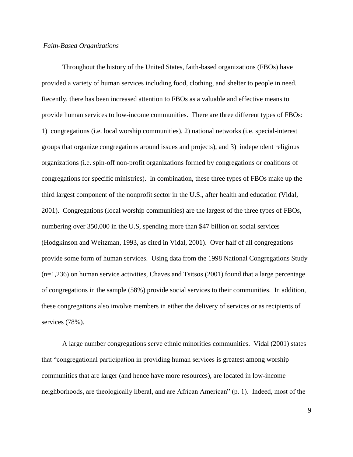### *Faith-Based Organizations*

Throughout the history of the United States, faith-based organizations (FBOs) have provided a variety of human services including food, clothing, and shelter to people in need. Recently, there has been increased attention to FBOs as a valuable and effective means to provide human services to low-income communities. There are three different types of FBOs: 1) congregations (i.e. local worship communities), 2) national networks (i.e. special-interest groups that organize congregations around issues and projects), and 3) independent religious organizations (i.e. spin-off non-profit organizations formed by congregations or coalitions of congregations for specific ministries). In combination, these three types of FBOs make up the third largest component of the nonprofit sector in the U.S., after health and education (Vidal, 2001). Congregations (local worship communities) are the largest of the three types of FBOs, numbering over 350,000 in the U.S, spending more than \$47 billion on social services (Hodgkinson and Weitzman, 1993, as cited in Vidal, 2001). Over half of all congregations provide some form of human services. Using data from the 1998 National Congregations Study  $(n=1,236)$  on human service activities, Chaves and Tsitsos (2001) found that a large percentage of congregations in the sample (58%) provide social services to their communities. In addition, these congregations also involve members in either the delivery of services or as recipients of services (78%).

A large number congregations serve ethnic minorities communities. Vidal (2001) states that "congregational participation in providing human services is greatest among worship communities that are larger (and hence have more resources), are located in low-income neighborhoods, are theologically liberal, and are African American" (p. 1). Indeed, most of the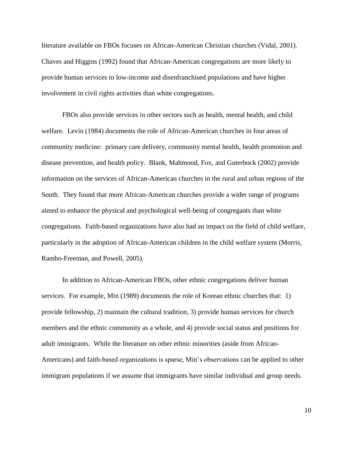literature available on FBOs focuses on African-American Christian churches (Vidal, 2001). Chaves and Higgins (1992) found that African-American congregations are more likely to provide human services to low-income and disenfranchised populations and have higher involvement in civil rights activities than white congregations.

FBOs also provide services in other sectors such as health, mental health, and child welfare. Levin (1984) documents the role of African-American churches in four areas of community medicine: primary care delivery, community mental health, health promotion and disease prevention, and health policy. Blank, Mahmood, Fox, and Guterbock (2002) provide information on the services of African-American churches in the rural and urban regions of the South. They found that more African-American churches provide a wider range of programs aimed to enhance the physical and psychological well-being of congregants than white congregations. Faith-based organizations have also had an impact on the field of child welfare, particularly in the adoption of African-American children in the child welfare system (Morris, Rambo-Freeman, and Powell, 2005).

In addition to African-American FBOs, other ethnic congregations deliver human services. For example, Min (1989) documents the role of Korean ethnic churches that: 1) provide fellowship, 2) maintain the cultural tradition, 3) provide human services for church members and the ethnic community as a whole, and 4) provide social status and positions for adult immigrants. While the literature on other ethnic minorities (aside from African-Americans) and faith-based organizations is sparse, Min's observations can be applied to other immigrant populations if we assume that immigrants have similar individual and group needs.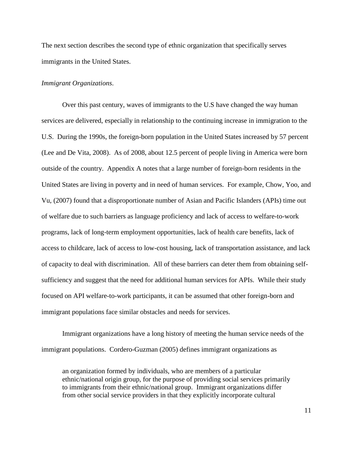The next section describes the second type of ethnic organization that specifically serves immigrants in the United States.

#### *Immigrant Organizations*.

Over this past century, waves of immigrants to the U.S have changed the way human services are delivered, especially in relationship to the continuing increase in immigration to the U.S. During the 1990s, the foreign-born population in the United States increased by 57 percent (Lee and De Vita, 2008). As of 2008, about 12.5 percent of people living in America were born outside of the country. Appendix A notes that a large number of foreign-born residents in the United States are living in poverty and in need of human services. For example, Chow, Yoo, and Vu, (2007) found that a disproportionate number of Asian and Pacific Islanders (APIs) time out of welfare due to such barriers as language proficiency and lack of access to welfare-to-work programs, lack of long-term employment opportunities, lack of health care benefits, lack of access to childcare, lack of access to low-cost housing, lack of transportation assistance, and lack of capacity to deal with discrimination. All of these barriers can deter them from obtaining selfsufficiency and suggest that the need for additional human services for APIs. While their study focused on API welfare-to-work participants, it can be assumed that other foreign-born and immigrant populations face similar obstacles and needs for services.

Immigrant organizations have a long history of meeting the human service needs of the immigrant populations. Cordero-Guzman (2005) defines immigrant organizations as

an organization formed by individuals, who are members of a particular ethnic/national origin group, for the purpose of providing social services primarily to immigrants from their ethnic/national group. Immigrant organizations differ from other social service providers in that they explicitly incorporate cultural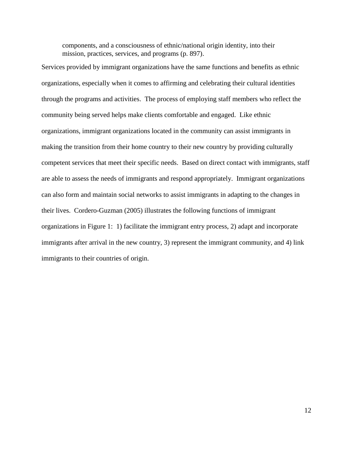components, and a consciousness of ethnic/national origin identity, into their mission, practices, services, and programs (p. 897).

Services provided by immigrant organizations have the same functions and benefits as ethnic organizations, especially when it comes to affirming and celebrating their cultural identities through the programs and activities. The process of employing staff members who reflect the community being served helps make clients comfortable and engaged. Like ethnic organizations, immigrant organizations located in the community can assist immigrants in making the transition from their home country to their new country by providing culturally competent services that meet their specific needs. Based on direct contact with immigrants, staff are able to assess the needs of immigrants and respond appropriately. Immigrant organizations can also form and maintain social networks to assist immigrants in adapting to the changes in their lives. Cordero-Guzman (2005) illustrates the following functions of immigrant organizations in Figure 1: 1) facilitate the immigrant entry process, 2) adapt and incorporate immigrants after arrival in the new country, 3) represent the immigrant community, and 4) link immigrants to their countries of origin.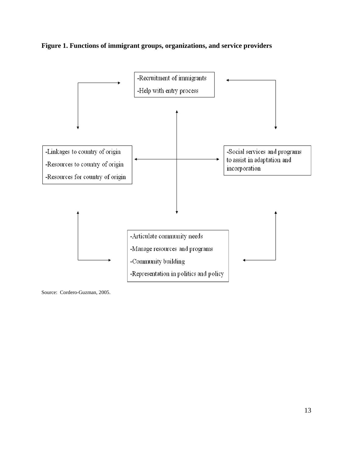



Source: Cordero-Guzman, 2005.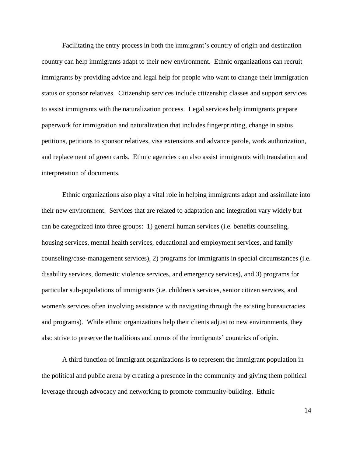Facilitating the entry process in both the immigrant's country of origin and destination country can help immigrants adapt to their new environment. Ethnic organizations can recruit immigrants by providing advice and legal help for people who want to change their immigration status or sponsor relatives. Citizenship services include citizenship classes and support services to assist immigrants with the naturalization process. Legal services help immigrants prepare paperwork for immigration and naturalization that includes fingerprinting, change in status petitions, petitions to sponsor relatives, visa extensions and advance parole, work authorization, and replacement of green cards. Ethnic agencies can also assist immigrants with translation and interpretation of documents.

Ethnic organizations also play a vital role in helping immigrants adapt and assimilate into their new environment. Services that are related to adaptation and integration vary widely but can be categorized into three groups: 1) general human services (i.e. benefits counseling, housing services, mental health services, educational and employment services, and family counseling/case-management services), 2) programs for immigrants in special circumstances (i.e. disability services, domestic violence services, and emergency services), and 3) programs for particular sub-populations of immigrants (i.e. children's services, senior citizen services, and women's services often involving assistance with navigating through the existing bureaucracies and programs). While ethnic organizations help their clients adjust to new environments, they also strive to preserve the traditions and norms of the immigrants' countries of origin.

A third function of immigrant organizations is to represent the immigrant population in the political and public arena by creating a presence in the community and giving them political leverage through advocacy and networking to promote community-building. Ethnic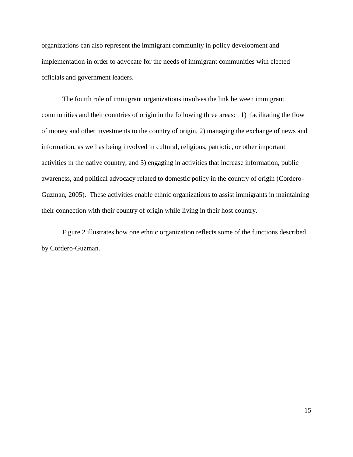organizations can also represent the immigrant community in policy development and implementation in order to advocate for the needs of immigrant communities with elected officials and government leaders.

The fourth role of immigrant organizations involves the link between immigrant communities and their countries of origin in the following three areas: 1) facilitating the flow of money and other investments to the country of origin, 2) managing the exchange of news and information, as well as being involved in cultural, religious, patriotic, or other important activities in the native country, and 3) engaging in activities that increase information, public awareness, and political advocacy related to domestic policy in the country of origin (Cordero-Guzman, 2005). These activities enable ethnic organizations to assist immigrants in maintaining their connection with their country of origin while living in their host country.

Figure 2 illustrates how one ethnic organization reflects some of the functions described by Cordero-Guzman.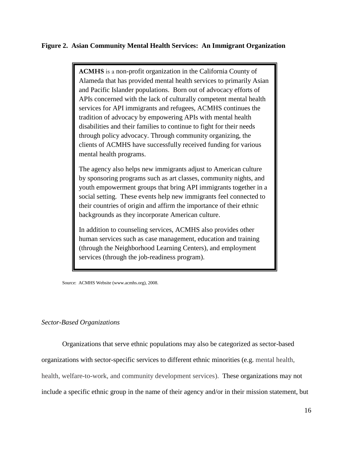# **Figure 2. Asian Community Mental Health Services: An Immigrant Organization**

**ACMHS** is a non-profit organization in the California County of Alameda that has provided mental health services to primarily Asian and Pacific Islander populations. Born out of advocacy efforts of APIs concerned with the lack of culturally competent mental health services for API immigrants and refugees, ACMHS continues the tradition of advocacy by empowering APIs with mental health disabilities and their families to continue to fight for their needs through policy advocacy. Through community organizing, the clients of ACMHS have successfully received funding for various mental health programs.

The agency also helps new immigrants adjust to American culture by sponsoring programs such as art classes, community nights, and youth empowerment groups that bring API immigrants together in a social setting. These events help new immigrants feel connected to their countries of origin and affirm the importance of their ethnic backgrounds as they incorporate American culture.

In addition to counseling services, ACMHS also provides other human services such as case management, education and training (through the Neighborhood Learning Centers), and employment services (through the job-readiness program).

Source: ACMHS Website (www.acmhs.org), 2008.

## *Sector-Based Organizations*

Organizations that serve ethnic populations may also be categorized as sector-based organizations with sector-specific services to different ethnic minorities (e.g. mental health, health, welfare-to-work, and community development services). These organizations may not include a specific ethnic group in the name of their agency and/or in their mission statement, but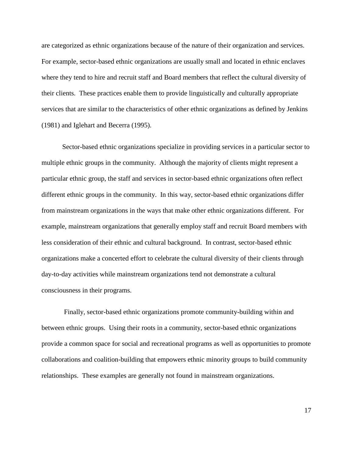are categorized as ethnic organizations because of the nature of their organization and services. For example, sector-based ethnic organizations are usually small and located in ethnic enclaves where they tend to hire and recruit staff and Board members that reflect the cultural diversity of their clients. These practices enable them to provide linguistically and culturally appropriate services that are similar to the characteristics of other ethnic organizations as defined by Jenkins (1981) and Iglehart and Becerra (1995).

Sector-based ethnic organizations specialize in providing services in a particular sector to multiple ethnic groups in the community. Although the majority of clients might represent a particular ethnic group, the staff and services in sector-based ethnic organizations often reflect different ethnic groups in the community. In this way, sector-based ethnic organizations differ from mainstream organizations in the ways that make other ethnic organizations different. For example, mainstream organizations that generally employ staff and recruit Board members with less consideration of their ethnic and cultural background. In contrast, sector-based ethnic organizations make a concerted effort to celebrate the cultural diversity of their clients through day-to-day activities while mainstream organizations tend not demonstrate a cultural consciousness in their programs.

Finally, sector-based ethnic organizations promote community-building within and between ethnic groups. Using their roots in a community, sector-based ethnic organizations provide a common space for social and recreational programs as well as opportunities to promote collaborations and coalition-building that empowers ethnic minority groups to build community relationships. These examples are generally not found in mainstream organizations.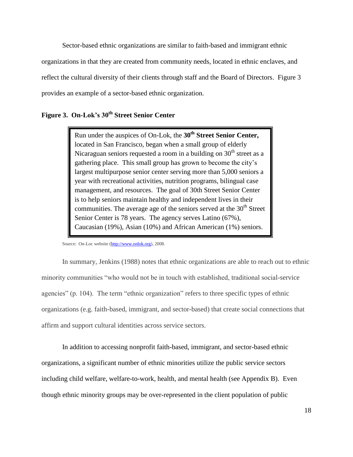Sector-based ethnic organizations are similar to faith-based and immigrant ethnic organizations in that they are created from community needs, located in ethnic enclaves, and reflect the cultural diversity of their clients through staff and the Board of Directors. Figure 3 provides an example of a sector-based ethnic organization.

# **Figure 3. On-Lok's 30th Street Senior Center**

Run under the auspices of On-Lok, the **30th Street Senior Center,**  located in San Francisco, began when a small group of elderly Nicaraguan seniors requested a room in a building on  $30<sup>th</sup>$  street as a gathering place. This small group has grown to become the city's largest multipurpose senior center serving more than 5,000 seniors a year with recreational activities, nutrition programs, bilingual case management, and resources. The goal of 30th Street Senior Center is to help seniors maintain healthy and independent lives in their communities. The average age of the seniors served at the  $30<sup>th</sup>$  Street Senior Center is 78 years. The agency serves Latino (67%), Caucasian (19%), Asian (10%) and African American (1%) seniors.

Source: On-Loc website [\(http://www.onlok.org\)](http://www.onlok.org/), 2008.

In summary, Jenkins (1988) notes that ethnic organizations are able to reach out to ethnic minority communities "who would not be in touch with established, traditional social-service agencies" (p. 104). The term "ethnic organization" refers to three specific types of ethnic organizations (e.g. faith-based, immigrant, and sector-based) that create social connections that affirm and support cultural identities across service sectors.

In addition to accessing nonprofit faith-based, immigrant, and sector-based ethnic organizations, a significant number of ethnic minorities utilize the public service sectors including child welfare, welfare-to-work, health, and mental health (see Appendix B). Even though ethnic minority groups may be over-represented in the client population of public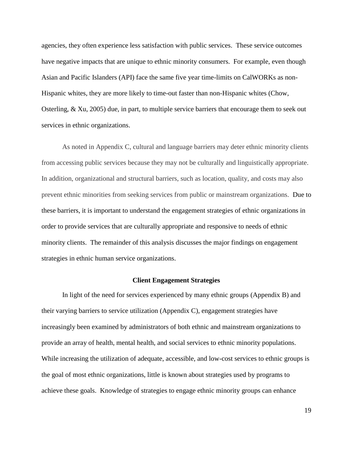agencies, they often experience less satisfaction with public services. These service outcomes have negative impacts that are unique to ethnic minority consumers. For example, even though Asian and Pacific Islanders (API) face the same five year time-limits on CalWORKs as non-Hispanic whites, they are more likely to time-out faster than non-Hispanic whites (Chow, Osterling, & Xu, 2005) due, in part, to multiple service barriers that encourage them to seek out services in ethnic organizations.

As noted in Appendix C, cultural and language barriers may deter ethnic minority clients from accessing public services because they may not be culturally and linguistically appropriate. In addition, organizational and structural barriers, such as location, quality, and costs may also prevent ethnic minorities from seeking services from public or mainstream organizations. Due to these barriers, it is important to understand the engagement strategies of ethnic organizations in order to provide services that are culturally appropriate and responsive to needs of ethnic minority clients. The remainder of this analysis discusses the major findings on engagement strategies in ethnic human service organizations.

#### **Client Engagement Strategies**

In light of the need for services experienced by many ethnic groups (Appendix B) and their varying barriers to service utilization (Appendix C), engagement strategies have increasingly been examined by administrators of both ethnic and mainstream organizations to provide an array of health, mental health, and social services to ethnic minority populations. While increasing the utilization of adequate, accessible, and low-cost services to ethnic groups is the goal of most ethnic organizations, little is known about strategies used by programs to achieve these goals. Knowledge of strategies to engage ethnic minority groups can enhance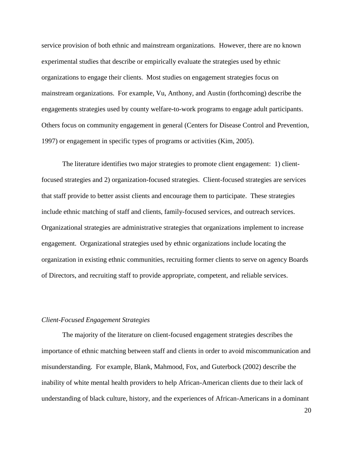service provision of both ethnic and mainstream organizations. However, there are no known experimental studies that describe or empirically evaluate the strategies used by ethnic organizations to engage their clients. Most studies on engagement strategies focus on mainstream organizations. For example, Vu, Anthony, and Austin (forthcoming) describe the engagements strategies used by county welfare-to-work programs to engage adult participants. Others focus on community engagement in general (Centers for Disease Control and Prevention, 1997) or engagement in specific types of programs or activities (Kim, 2005).

The literature identifies two major strategies to promote client engagement: 1) clientfocused strategies and 2) organization-focused strategies. Client-focused strategies are services that staff provide to better assist clients and encourage them to participate. These strategies include ethnic matching of staff and clients, family-focused services, and outreach services. Organizational strategies are administrative strategies that organizations implement to increase engagement. Organizational strategies used by ethnic organizations include locating the organization in existing ethnic communities, recruiting former clients to serve on agency Boards of Directors, and recruiting staff to provide appropriate, competent, and reliable services.

### *Client-Focused Engagement Strategies*

The majority of the literature on client-focused engagement strategies describes the importance of ethnic matching between staff and clients in order to avoid miscommunication and misunderstanding. For example, Blank, Mahmood, Fox, and Guterbock (2002) describe the inability of white mental health providers to help African-American clients due to their lack of understanding of black culture, history, and the experiences of African-Americans in a dominant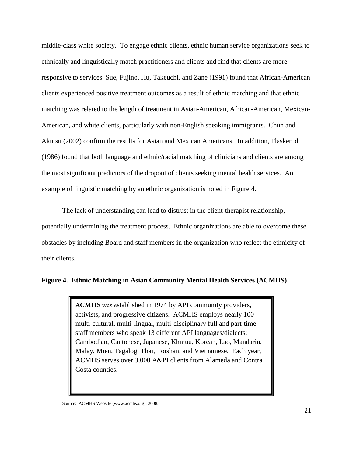middle-class white society. To engage ethnic clients, ethnic human service organizations seek to ethnically and linguistically match practitioners and clients and find that clients are more responsive to services. Sue, [Fujino,](http://www.ncbi.nlm.nih.gov/sites/entrez?Db=pubmed&Cmd=Search&Term=%22Fujino%20DC%22%5BAuthor%5D&itool=EntrezSystem2.PEntrez.Pubmed.Pubmed_ResultsPanel.Pubmed_DiscoveryPanel.Pubmed_RVAbstractPlus) [Hu, Takeuchi, and](http://www.ncbi.nlm.nih.gov/sites/entrez?Db=pubmed&Cmd=Search&Term=%22Hu%20LT%22%5BAuthor%5D&itool=EntrezSystem2.PEntrez.Pubmed.Pubmed_ResultsPanel.Pubmed_DiscoveryPanel.Pubmed_RVAbstractPlus) [Zane \(](http://www.ncbi.nlm.nih.gov/sites/entrez?Db=pubmed&Cmd=Search&Term=%22Zane%20NW%22%5BAuthor%5D&itool=EntrezSystem2.PEntrez.Pubmed.Pubmed_ResultsPanel.Pubmed_DiscoveryPanel.Pubmed_RVAbstractPlus)1991) found that African-American clients experienced positive treatment outcomes as a result of ethnic matching and that ethnic matching was related to the length of treatment in Asian-American, African-American, Mexican-American, and white clients, particularly with non-English speaking immigrants. Chun and Akutsu (2002) confirm the results for Asian and Mexican Americans. In addition, Flaskerud (1986) found that both language and ethnic/racial matching of clinicians and clients are among the most significant predictors of the dropout of clients seeking mental health services. An example of linguistic matching by an ethnic organization is noted in Figure 4.

The lack of understanding can lead to distrust in the client-therapist relationship, potentially undermining the treatment process. Ethnic organizations are able to overcome these obstacles by including Board and staff members in the organization who reflect the ethnicity of their clients.

# **Figure 4. Ethnic Matching in Asian Community Mental Health Services (ACMHS)**

**ACMHS** was established in 1974 by API community providers, activists, and progressive citizens. ACMHS employs nearly 100 multi-cultural, multi-lingual, multi-disciplinary full and part-time staff members who speak 13 different API languages/dialects: Cambodian, Cantonese, Japanese, Khmuu, Korean, Lao, Mandarin, Malay, Mien, Tagalog, Thai, Toishan, and Vietnamese. Each year, ACMHS serves over 3,000 A&PI clients from Alameda and Contra Costa counties.

Source: ACMHS Website (www.acmhs.org), 2008.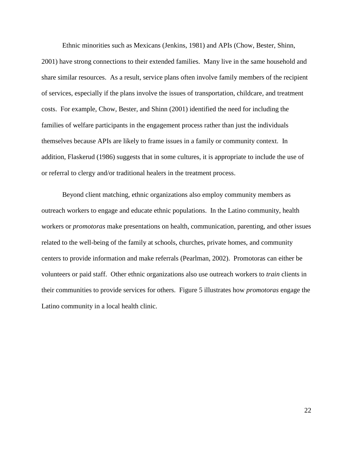Ethnic minorities such as Mexicans (Jenkins, 1981) and APIs (Chow, Bester, Shinn, 2001) have strong connections to their extended families. Many live in the same household and share similar resources. As a result, service plans often involve family members of the recipient of services, especially if the plans involve the issues of transportation, childcare, and treatment costs. For example, Chow, Bester, and Shinn (2001) identified the need for including the families of welfare participants in the engagement process rather than just the individuals themselves because APIs are likely to frame issues in a family or community context. In addition, Flaskerud (1986) suggests that in some cultures, it is appropriate to include the use of or referral to clergy and/or traditional healers in the treatment process.

Beyond client matching, ethnic organizations also employ community members as outreach workers to engage and educate ethnic populations. In the Latino community, health workers or *promotoras* make presentations on health, communication, parenting, and other issues related to the well-being of the family at schools, churches, private homes, and community centers to provide information and make referrals (Pearlman, 2002). Promotoras can either be volunteers or paid staff. Other ethnic organizations also use outreach workers to *train* clients in their communities to provide services for others. Figure 5 illustrates how *promotoras* engage the Latino community in a local health clinic.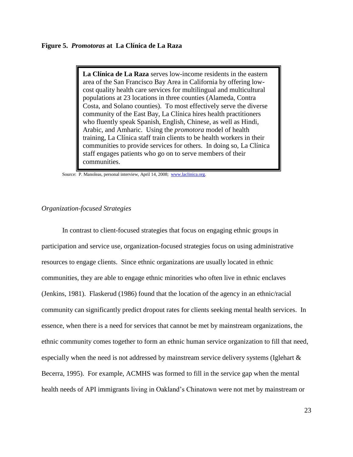**La Clínica de La Raza** serves low-income residents in the eastern area of the San Francisco Bay Area in California by offering lowcost quality health care services for multilingual and multicultural populations at 23 locations in three counties (Alameda, Contra Costa, and Solano counties). To most effectively serve the diverse community of the East Bay, La Clínica hires health practitioners who fluently speak Spanish, English, Chinese, as well as Hindi, Arabic, and Amharic. Using the *promotora* model of health training, La Clínica staff train clients to be health workers in their communities to provide services for others. In doing so, La Clínica staff engages patients who go on to serve members of their communities.

Source: P. Manoleas, personal interview, April 14, 2008; [www.laclinica.org.](http://www.laclinica.org/)

#### *Organization-focused Strategies*

In contrast to client-focused strategies that focus on engaging ethnic groups in participation and service use, organization-focused strategies focus on using administrative resources to engage clients. Since ethnic organizations are usually located in ethnic communities, they are able to engage ethnic minorities who often live in ethnic enclaves (Jenkins, 1981). Flaskerud (1986) found that the location of the agency in an ethnic/racial community can significantly predict dropout rates for clients seeking mental health services. In essence, when there is a need for services that cannot be met by mainstream organizations, the ethnic community comes together to form an ethnic human service organization to fill that need, especially when the need is not addressed by mainstream service delivery systems (Iglehart & Becerra, 1995). For example, ACMHS was formed to fill in the service gap when the mental health needs of API immigrants living in Oakland's Chinatown were not met by mainstream or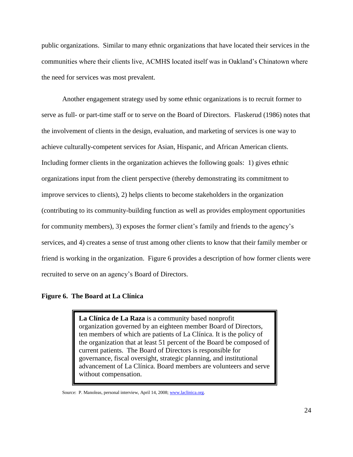public organizations. Similar to many ethnic organizations that have located their services in the communities where their clients live, ACMHS located itself was in Oakland's Chinatown where the need for services was most prevalent.

Another engagement strategy used by some ethnic organizations is to recruit former to serve as full- or part-time staff or to serve on the Board of Directors. Flaskerud (1986) notes that the involvement of clients in the design, evaluation, and marketing of services is one way to achieve culturally-competent services for Asian, Hispanic, and African American clients. Including former clients in the organization achieves the following goals: 1) gives ethnic organizations input from the client perspective (thereby demonstrating its commitment to improve services to clients), 2) helps clients to become stakeholders in the organization (contributing to its community-building function as well as provides employment opportunities for community members), 3) exposes the former client's family and friends to the agency's services, and 4) creates a sense of trust among other clients to know that their family member or friend is working in the organization. Figure 6 provides a description of how former clients were recruited to serve on an agency's Board of Directors.

#### **Figure 6. The Board at La Clínica**

**La Clínica de La Raza** is a community based nonprofit organization governed by an eighteen member Board of Directors, ten members of which are patients of La Clínica. It is the policy of the organization that at least 51 percent of the Board be composed of current patients. The Board of Directors is responsible for governance, fiscal oversight, strategic planning, and institutional advancement of La Clínica. Board members are volunteers and serve without compensation.

Source: P. Manoleas, personal interview, April 14, 2008[; www.laclinica.org.](http://www.laclinica.org/)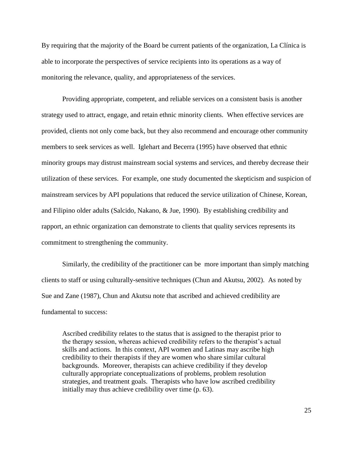By requiring that the majority of the Board be current patients of the organization, La Clínica is able to incorporate the perspectives of service recipients into its operations as a way of monitoring the relevance, quality, and appropriateness of the services.

Providing appropriate, competent, and reliable services on a consistent basis is another strategy used to attract, engage, and retain ethnic minority clients. When effective services are provided, clients not only come back, but they also recommend and encourage other community members to seek services as well. Iglehart and Becerra (1995) have observed that ethnic minority groups may distrust mainstream social systems and services, and thereby decrease their utilization of these services. For example, one study documented the skepticism and suspicion of mainstream services by API populations that reduced the service utilization of Chinese, Korean, and Filipino older adults (Salcido, Nakano, & Jue, 1990). By establishing credibility and rapport, an ethnic organization can demonstrate to clients that quality services represents its commitment to strengthening the community.

Similarly, the credibility of the practitioner can be more important than simply matching clients to staff or using culturally-sensitive techniques (Chun and Akutsu, 2002). As noted by Sue and Zane (1987), Chun and Akutsu note that ascribed and achieved credibility are fundamental to success:

Ascribed credibility relates to the status that is assigned to the therapist prior to the therapy session, whereas achieved credibility refers to the therapist's actual skills and actions. In this context, API women and Latinas may ascribe high credibility to their therapists if they are women who share similar cultural backgrounds. Moreover, therapists can achieve credibility if they develop culturally appropriate conceptualizations of problems, problem resolution strategies, and treatment goals. Therapists who have low ascribed credibility initially may thus achieve credibility over time (p. 63).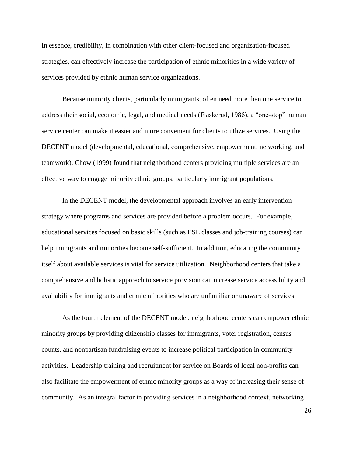In essence, credibility, in combination with other client-focused and organization-focused strategies, can effectively increase the participation of ethnic minorities in a wide variety of services provided by ethnic human service organizations.

Because minority clients, particularly immigrants, often need more than one service to address their social, economic, legal, and medical needs (Flaskerud, 1986), a "one-stop" human service center can make it easier and more convenient for clients to utlize services. Using the DECENT model (developmental, educational, comprehensive, empowerment, networking, and teamwork), Chow (1999) found that neighborhood centers providing multiple services are an effective way to engage minority ethnic groups, particularly immigrant populations.

In the DECENT model, the developmental approach involves an early intervention strategy where programs and services are provided before a problem occurs. For example, educational services focused on basic skills (such as ESL classes and job-training courses) can help immigrants and minorities become self-sufficient. In addition, educating the community itself about available services is vital for service utilization. Neighborhood centers that take a comprehensive and holistic approach to service provision can increase service accessibility and availability for immigrants and ethnic minorities who are unfamiliar or unaware of services.

As the fourth element of the DECENT model, neighborhood centers can empower ethnic minority groups by providing citizenship classes for immigrants, voter registration, census counts, and nonpartisan fundraising events to increase political participation in community activities. Leadership training and recruitment for service on Boards of local non-profits can also facilitate the empowerment of ethnic minority groups as a way of increasing their sense of community. As an integral factor in providing services in a neighborhood context, networking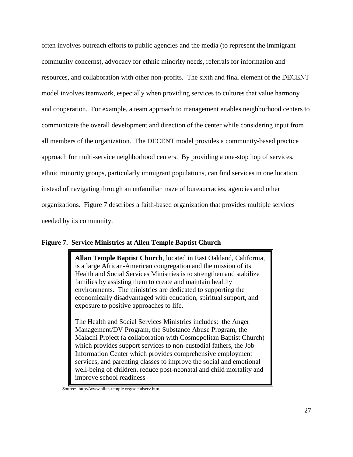often involves outreach efforts to public agencies and the media (to represent the immigrant community concerns), advocacy for ethnic minority needs, referrals for information and resources, and collaboration with other non-profits. The sixth and final element of the DECENT model involves teamwork, especially when providing services to cultures that value harmony and cooperation. For example, a team approach to management enables neighborhood centers to communicate the overall development and direction of the center while considering input from all members of the organization. The DECENT model provides a community-based practice approach for multi-service neighborhood centers. By providing a one-stop hop of services, ethnic minority groups, particularly immigrant populations, can find services in one location instead of navigating through an unfamiliar maze of bureaucracies, agencies and other organizations. Figure 7 describes a faith-based organization that provides multiple services needed by its community.

# **Figure 7. Service Ministries at Allen Temple Baptist Church**

**Allan Temple Baptist Church**, located in East Oakland, California, is a large African-American congregation and the mission of its Health and Social Services Ministries is to strengthen and stabilize families by assisting them to create and maintain healthy environments. The ministries are dedicated to supporting the economically disadvantaged with education, spiritual support, and exposure to positive approaches to life.

The Health and Social Services Ministries includes: the Anger Management/DV Program, the Substance Abuse Program, the Malachi Project (a collaboration with Cosmopolitan Baptist Church) which provides support services to non-custodial fathers, the Job Information Center which provides comprehensive employment services, and parenting classes to improve the social and emotional well-being of children, reduce post-neonatal and child mortality and improve school readiness

Source: http://www.allen-temple.org/socialserv.htm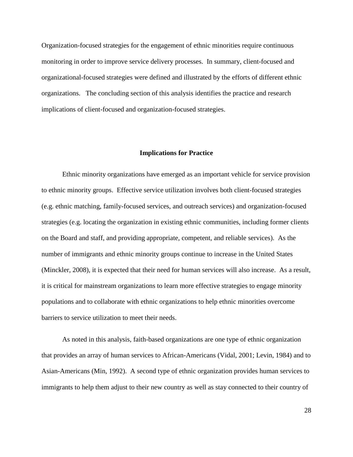Organization-focused strategies for the engagement of ethnic minorities require continuous monitoring in order to improve service delivery processes. In summary, client-focused and organizational-focused strategies were defined and illustrated by the efforts of different ethnic organizations. The concluding section of this analysis identifies the practice and research implications of client-focused and organization-focused strategies.

#### **Implications for Practice**

Ethnic minority organizations have emerged as an important vehicle for service provision to ethnic minority groups. Effective service utilization involves both client-focused strategies (e.g. ethnic matching, family-focused services, and outreach services) and organization-focused strategies (e.g. locating the organization in existing ethnic communities, including former clients on the Board and staff, and providing appropriate, competent, and reliable services). As the number of immigrants and ethnic minority groups continue to increase in the United States (Minckler, 2008), it is expected that their need for human services will also increase. As a result, it is critical for mainstream organizations to learn more effective strategies to engage minority populations and to collaborate with ethnic organizations to help ethnic minorities overcome barriers to service utilization to meet their needs.

As noted in this analysis, faith-based organizations are one type of ethnic organization that provides an array of human services to African-Americans (Vidal, 2001; Levin, 1984) and to Asian-Americans (Min, 1992). A second type of ethnic organization provides human services to immigrants to help them adjust to their new country as well as stay connected to their country of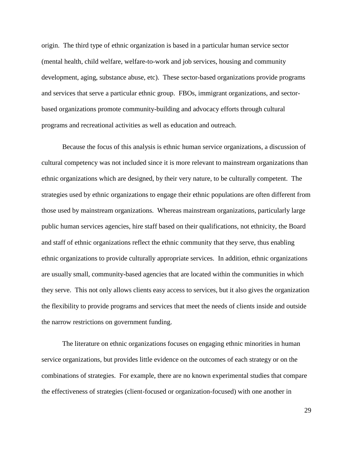origin. The third type of ethnic organization is based in a particular human service sector (mental health, child welfare, welfare-to-work and job services, housing and community development, aging, substance abuse, etc). These sector-based organizations provide programs and services that serve a particular ethnic group. FBOs, immigrant organizations, and sectorbased organizations promote community-building and advocacy efforts through cultural programs and recreational activities as well as education and outreach.

Because the focus of this analysis is ethnic human service organizations, a discussion of cultural competency was not included since it is more relevant to mainstream organizations than ethnic organizations which are designed, by their very nature, to be culturally competent. The strategies used by ethnic organizations to engage their ethnic populations are often different from those used by mainstream organizations. Whereas mainstream organizations, particularly large public human services agencies, hire staff based on their qualifications, not ethnicity, the Board and staff of ethnic organizations reflect the ethnic community that they serve, thus enabling ethnic organizations to provide culturally appropriate services. In addition, ethnic organizations are usually small, community-based agencies that are located within the communities in which they serve. This not only allows clients easy access to services, but it also gives the organization the flexibility to provide programs and services that meet the needs of clients inside and outside the narrow restrictions on government funding.

The literature on ethnic organizations focuses on engaging ethnic minorities in human service organizations, but provides little evidence on the outcomes of each strategy or on the combinations of strategies. For example, there are no known experimental studies that compare the effectiveness of strategies (client-focused or organization-focused) with one another in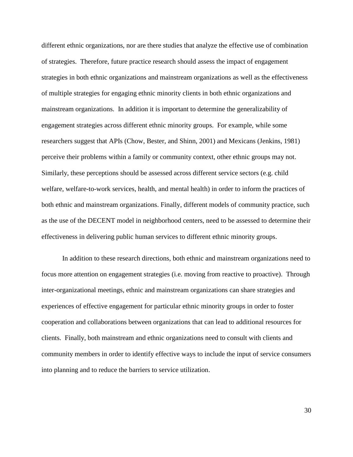different ethnic organizations, nor are there studies that analyze the effective use of combination of strategies. Therefore, future practice research should assess the impact of engagement strategies in both ethnic organizations and mainstream organizations as well as the effectiveness of multiple strategies for engaging ethnic minority clients in both ethnic organizations and mainstream organizations. In addition it is important to determine the generalizability of engagement strategies across different ethnic minority groups. For example, while some researchers suggest that APIs (Chow, Bester, and Shinn, 2001) and Mexicans (Jenkins, 1981) perceive their problems within a family or community context, other ethnic groups may not. Similarly, these perceptions should be assessed across different service sectors (e.g. child welfare, welfare-to-work services, health, and mental health) in order to inform the practices of both ethnic and mainstream organizations. Finally, different models of community practice, such as the use of the DECENT model in neighborhood centers, need to be assessed to determine their effectiveness in delivering public human services to different ethnic minority groups.

In addition to these research directions, both ethnic and mainstream organizations need to focus more attention on engagement strategies (i.e. moving from reactive to proactive). Through inter-organizational meetings, ethnic and mainstream organizations can share strategies and experiences of effective engagement for particular ethnic minority groups in order to foster cooperation and collaborations between organizations that can lead to additional resources for clients. Finally, both mainstream and ethnic organizations need to consult with clients and community members in order to identify effective ways to include the input of service consumers into planning and to reduce the barriers to service utilization.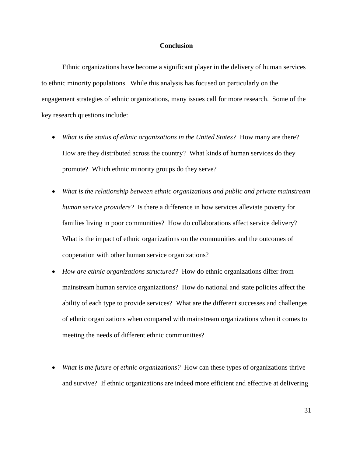#### **Conclusion**

Ethnic organizations have become a significant player in the delivery of human services to ethnic minority populations. While this analysis has focused on particularly on the engagement strategies of ethnic organizations, many issues call for more research. Some of the key research questions include:

- What is the status of ethnic organizations in the United States? How many are there? How are they distributed across the country? What kinds of human services do they promote? Which ethnic minority groups do they serve?
- *What is the relationship between ethnic organizations and public and private mainstream human service providers?* Is there a difference in how services alleviate poverty for families living in poor communities? How do collaborations affect service delivery? What is the impact of ethnic organizations on the communities and the outcomes of cooperation with other human service organizations?
- *How are ethnic organizations structured?* How do ethnic organizations differ from mainstream human service organizations? How do national and state policies affect the ability of each type to provide services? What are the different successes and challenges of ethnic organizations when compared with mainstream organizations when it comes to meeting the needs of different ethnic communities?
- *What is the future of ethnic organizations?* How can these types of organizations thrive and survive? If ethnic organizations are indeed more efficient and effective at delivering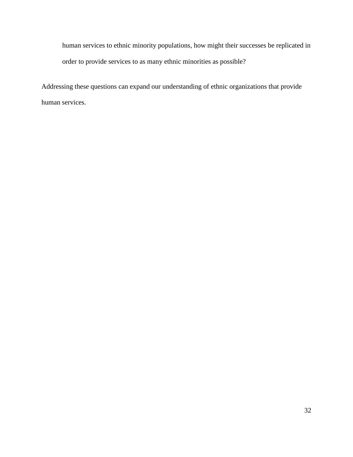human services to ethnic minority populations, how might their successes be replicated in order to provide services to as many ethnic minorities as possible?

Addressing these questions can expand our understanding of ethnic organizations that provide human services.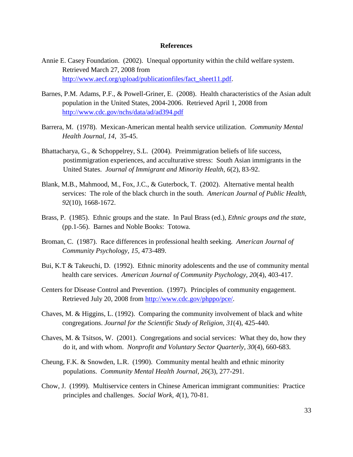#### **References**

- Annie E. Casey Foundation. (2002). Unequal opportunity within the child welfare system. Retrieved March 27, 2008 from [http://www.aecf.org/upload/publicationfiles/fact\\_sheet11.pdf.](http://www.aecf.org/upload/publicationfiles/fact_sheet11.pdf)
- Barnes, P.M. Adams, P.F., & Powell-Griner, E. (2008). Health characteristics of the Asian adult population in the United States, 2004-2006. Retrieved April 1, 2008 from <http://www.cdc.gov/nchs/data/ad/ad394.pdf>
- Barrera, M. (1978). Mexican-American mental health service utilization. *Community Mental Health Journal, 14,* 35-45.
- Bhattacharya, G., & Schoppelrey, S.L. (2004). Preimmigration beliefs of life success, postimmigration experiences, and acculturative stress: South Asian immigrants in the United States. *Journal of Immigrant and Minority Health, 6*(2), 83-92.
- Blank, M.B., Mahmood, M., Fox, J.C., & Guterbock, T. (2002). Alternative mental health services: The role of the black church in the south. *American Journal of Public Health, 92*(10), 1668-1672.
- Brass, P. (1985). Ethnic groups and the state. In Paul Brass (ed.), *Ethnic groups and the state*, (pp.1-56). Barnes and Noble Books: Totowa.
- Broman, C. (1987). Race differences in professional health seeking. *American Journal of Community Psychology, 15,* 473-489.
- Bui, K.T & Takeuchi, D. (1992). Ethnic minority adolescents and the use of community mental health care services. *American Journal of Community Psychology, 20*(4), 403-417.
- Centers for Disease Control and Prevention. (1997). Principles of community engagement. Retrieved July 20, 2008 from [http://www.cdc.gov/phppo/pce/.](http://www.cdc.gov/phppo/pce/)
- Chaves, M. & Higgins, L. (1992). Comparing the community involvement of black and white congregations. *Journal for the Scientific Study of Religion, 31*(4), 425-440.
- Chaves, M. & Tsitsos, W. (2001). Congregations and social services: What they do, how they do it, and with whom. *Nonprofit and Voluntary Sector Quarterly, 30*(4), 660-683.
- Cheung, F.K. & Snowden, L.R. (1990). Community mental health and ethnic minority populations. *Community Mental Health Journal, 26*(3), 277-291.
- Chow, J. (1999). Multiservice centers in Chinese American immigrant communities: Practice principles and challenges. *Social Work, 4*(1), 70-81.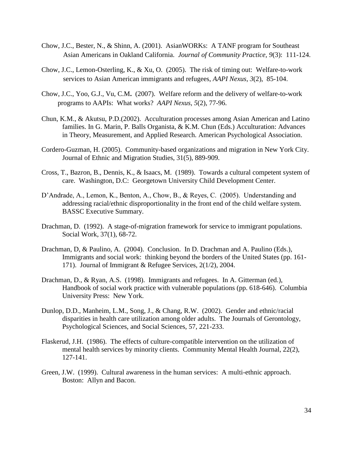- Chow, J.C., Bester, N., & Shinn, A. (2001). AsianWORKs: A TANF program for Southeast Asian Americans in Oakland California. *Journal of Community Practice, 9*(3): 111-124.
- Chow, J.C., Lemon-Osterling, K., & Xu, O. (2005). The risk of timing out: Welfare-to-work services to Asian American immigrants and refugees, *AAPI Nexus, 3*(2), 85-104.
- Chow, J.C., Yoo, G.J., Vu, C.M**.** (2007). Welfare reform and the delivery of welfare-to-work programs to AAPIs: What works? *AAPI Nexus, 5*(2), 77-96.
- Chun, K.M., & Akutsu, P.D.(2002). Acculturation processes among Asian American and Latino families. In G. Marin, P. Balls Organista, & K.M. Chun (Eds.) Acculturation: Advances in Theory, Measurement, and Applied Research. American Psychological Association.
- Cordero-Guzman, H. (2005). Community-based organizations and migration in New York City. Journal of Ethnic and Migration Studies, 31(5), 889-909.
- Cross, T., Bazron, B., Dennis, K., & Isaacs, M. (1989). Towards a cultural competent system of care. Washington, D.C: Georgetown University Child Development Center.
- D'Andrade, A., Lemon, K., Benton, A., Chow, B., & Reyes, C. (2005). Understanding and addressing racial/ethnic disproportionality in the front end of the child welfare system. BASSC Executive Summary.
- Drachman, D. (1992). A stage-of-migration framework for service to immigrant populations. Social Work, 37(1), 68-72.
- Drachman, D, & Paulino, A. (2004). Conclusion. In D. Drachman and A. Paulino (Eds.), Immigrants and social work: thinking beyond the borders of the United States (pp. 161- 171). Journal of Immigrant & Refugee Services, 2(1/2), 2004.
- Drachman, D., & Ryan, A.S. (1998). Immigrants and refugees. In A. Gitterman (ed.), Handbook of social work practice with vulnerable populations (pp. 618-646). Columbia University Press: New York.
- Dunlop, D.D., Manheim, L.M., Song, J., & Chang, R.W. (2002). Gender and ethnic/racial disparities in health care utilization among older adults. The Journals of Gerontology, Psychological Sciences, and Social Sciences, 57, 221-233.
- Flaskerud, J.H. (1986). The effects of culture-compatible intervention on the utilization of mental health services by minority clients. Community Mental Health Journal, 22(2), 127-141.
- Green, J.W. (1999). Cultural awareness in the human services: A multi-ethnic approach. Boston: Allyn and Bacon.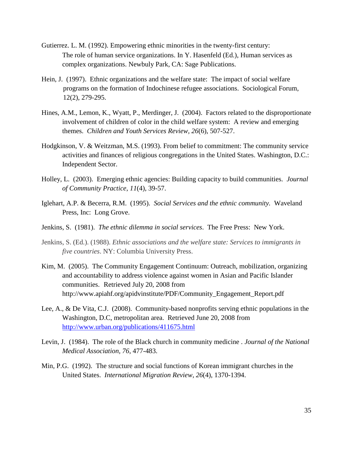- Gutierrez. L. M. (1992). Empowering ethnic minorities in the twenty-first century: The role of human service organizations. In Y. Hasenfeld (Ed.), Human services as complex organizations. Newbuly Park, CA: Sage Publications.
- Hein, J. (1997). [Ethnic organizations and the welfare state: The impact of social welfare](http://apps.isiknowledge.com/WoS/CIW.cgi?SID=4B2F@hmALJ1HBaKd8CN&Func=Links;ServiceName=TransferToWoS;PointOfEntry=FullRecord;request_from=UML;UT=A1997XJ90400006)  [programs on the formation of Indochinese refugee associations.](http://apps.isiknowledge.com/WoS/CIW.cgi?SID=4B2F@hmALJ1HBaKd8CN&Func=Links;ServiceName=TransferToWoS;PointOfEntry=FullRecord;request_from=UML;UT=A1997XJ90400006) Sociological Forum, 12(2), 279-295.
- Hines, A.M., Lemon, K., Wyatt, P., Merdinger, J. (2004). Factors related to the disproportionate involvement of children of color in the child welfare system: A review and emerging themes. *Children and Youth Services Review, 26*(6), 507-527.
- Hodgkinson, V. & Weitzman, M.S. (1993). From belief to commitment: The community service activities and finances of religious congregations in the United States. Washington, D.C.: Independent Sector.
- Holley, L. (2003). Emerging ethnic agencies: Building capacity to build communities. *Journal of Community Practice*, *11*(4), 39-57.
- Iglehart, A.P. & Becerra, R.M. (1995). *Social Services and the ethnic community.* Waveland Press, Inc: Long Grove.
- Jenkins, S. (1981). *The ethnic dilemma in social services*. The Free Press: New York.
- Jenkins, S. (Ed.). (1988). *Ethnic associations and the welfare state: Services to immigrants in five countries*. NY: Columbia University Press.
- Kim, M. (2005). The Community Engagement Continuum: Outreach, mobilization, organizing and accountability to address violence against women in Asian and Pacific Islander communities. Retrieved July 20, 2008 from http://www.apiahf.org/apidvinstitute/PDF/Community\_Engagement\_Report.pdf
- Lee, A., & De Vita, C.J. (2008). Community-based nonprofits serving ethnic populations in the Washington, D.C, metropolitan area. Retrieved June 20, 2008 from <http://www.urban.org/publications/411675.html>
- Levin, J. (1984). The role of the Black church in community medicine . *Journal of the National Medical Association, 76*, 477-483.
- Min, P.G. (1992). The structure and social functions of Korean immigrant churches in the United States. *International Migration Review*, *26*(4), 1370-1394.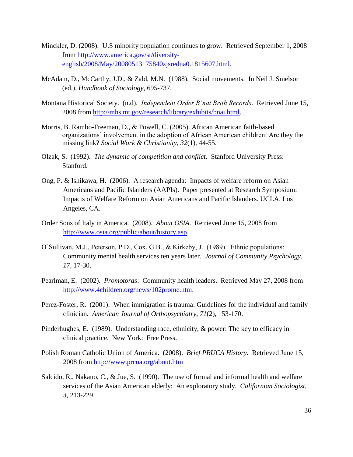- Minckler, D. (2008). U.S minority population continues to grow. Retrieved September 1, 2008 from [http://www.america.gov/st/diversity](http://www.america.gov/st/diversity-english/2008/May/20080513175840zjsredna0.1815607.html)[english/2008/May/20080513175840zjsredna0.1815607.html.](http://www.america.gov/st/diversity-english/2008/May/20080513175840zjsredna0.1815607.html)
- McAdam, D., McCarthy, J.D., & Zald, M.N. (1988). Social movements. In Neil J. Smelsor (ed.), *Handbook of Sociology*, 695-737.
- Montana Historical Society. (n.d). *Independent Order B'nai Brith Records*. Retrieved June 15, 2008 from [http://mhs.mt.gov/research/library/exhibits/bnai.html.](http://mhs.mt.gov/research/library/exhibits/bnai.html)
- Morris, B. Rambo-Freeman, D., & Powell, C. (2005). African American faith-based organizations' involvement in the adoption of African American children: Are they the missing link? *Social Work & Christianity, 32*(1), 44-55.
- Olzak, S. (1992). *The dynamic of competition and conflict*. Stanford University Press: Stanford.
- Ong, P. & Ishikawa, H. (2006). A research agenda: Impacts of welfare reform on Asian Americans and Pacific Islanders (AAPIs). Paper presented at Research Symposium: Impacts of Welfare Reform on Asian Americans and Pacific Islanders. UCLA. Los Angeles, CA.
- Order Sons of Italy in America. (2008). *About OSIA*. Retrieved June 15, 2008 from [http://www.osia.org/public/about/history.asp.](http://www.osia.org/public/about/history.asp)
- O'Sullivan, M.J., Peterson, P.D., Cox, G.B., & Kirkeby, J. (1989). Ethnic populations: Community mental health services ten years later. *Journal of Community Psychology, 17,* 17-30.
- Pearlman, E. (2002). *Promotoras*: Community health leaders. Retrieved May 27, 2008 from [http://www.4children.org/news/102prome.htm.](http://www.4children.org/news/102prome.htm)
- [Perez-Foster, R.](http://oh1.csa.com/ids70/p_search_form.php?field=au&query=perez+foster+rosemarie&log=literal&resolve_au&SID=57am12u98045esjlegjijv98t0) (2001). [When immigration is trauma: Guidelines for the individual and family](http://oh1.csa.com/ids70/view_record.php?id=3&recnum=0&SID=57am12u98045esjlegjijv98t0)  [clinician.](http://oh1.csa.com/ids70/view_record.php?id=3&recnum=0&SID=57am12u98045esjlegjijv98t0) *American Journal of Orthopsychiatry, 71*(2), 153-170.
- Pinderhughes, E. (1989). Understanding race, ethnicity, & power: The key to efficacy in clinical practice. New York: Free Press.
- Polish Roman Catholic Union of America. (2008). *Brief PRUCA History.* Retrieved June 15, 2008 from<http://www.prcua.org/about.htm>
- Salcido, R., Nakano, C., & Jue, S. (1990). The use of formal and informal health and welfare services of the Asian American elderly: An exploratory study. *Californian Sociologist, 3,* 213-229.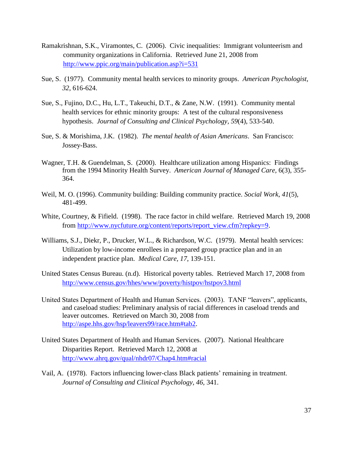- Ramakrishnan, S.K., Viramontes, C. (2006). Civic inequalities: Immigrant volunteerism and community organizations in California. Retrieved June 21, 2008 from <http://www.ppic.org/main/publication.asp?i=531>
- Sue, S. (1977). Community mental health services to minority groups. *American Psychologist, 32*, 616-624.
- [Sue, S.](http://www.ncbi.nlm.nih.gov/sites/entrez?Db=pubmed&Cmd=Search&Term=%22Sue%20S%22%5BAuthor%5D&itool=EntrezSystem2.PEntrez.Pubmed.Pubmed_ResultsPanel.Pubmed_DiscoveryPanel.Pubmed_RVAbstractPlus), [Fujino, D.C.](http://www.ncbi.nlm.nih.gov/sites/entrez?Db=pubmed&Cmd=Search&Term=%22Fujino%20DC%22%5BAuthor%5D&itool=EntrezSystem2.PEntrez.Pubmed.Pubmed_ResultsPanel.Pubmed_DiscoveryPanel.Pubmed_RVAbstractPlus), [Hu, L.T.](http://www.ncbi.nlm.nih.gov/sites/entrez?Db=pubmed&Cmd=Search&Term=%22Hu%20LT%22%5BAuthor%5D&itool=EntrezSystem2.PEntrez.Pubmed.Pubmed_ResultsPanel.Pubmed_DiscoveryPanel.Pubmed_RVAbstractPlus), [Takeuchi, D.T.](http://www.ncbi.nlm.nih.gov/sites/entrez?Db=pubmed&Cmd=Search&Term=%22Takeuchi%20DT%22%5BAuthor%5D&itool=EntrezSystem2.PEntrez.Pubmed.Pubmed_ResultsPanel.Pubmed_DiscoveryPanel.Pubmed_RVAbstractPlus), & [Zane, N.W.](http://www.ncbi.nlm.nih.gov/sites/entrez?Db=pubmed&Cmd=Search&Term=%22Zane%20NW%22%5BAuthor%5D&itool=EntrezSystem2.PEntrez.Pubmed.Pubmed_ResultsPanel.Pubmed_DiscoveryPanel.Pubmed_RVAbstractPlus) (1991). Community mental health services for ethnic minority groups: A test of the cultural responsiveness hypothesis. *Journal of Consulting and Clinical Psychology, 59*(4), 533-540.
- Sue, S. & Morishima, J.K. (1982). *The mental health of Asian Americans*. San Francisco: Jossey-Bass.
- Wagner, T.H. & Guendelman, S. (2000). Healthcare utilization among Hispanics: Findings from the 1994 Minority Health Survey. *American Journal of Managed Care,* 6(3), 355- 364.
- Weil, M. O. (1996). Community building: Building community practice. *Social Work*, *41*(5), 481-499.
- White, Courtney, & Fifield. (1998). The race factor in child welfare. Retrieved March 19, 2008 from [http://www.nycfuture.org/content/reports/report\\_view.cfm?repkey=9.](http://www.nycfuture.org/content/reports/report_view.cfm?repkey=9)
- Williams, S.J., Diekr, P., Drucker, W.L., & Richardson, W.C. (1979). Mental health services: Utilization by low-income enrollees in a prepared group practice plan and in an independent practice plan. *Medical Care, 17*, 139-151.
- United States Census Bureau. (n.d). Historical poverty tables. Retrieved March 17, 2008 from <http://www.census.gov/hhes/www/poverty/histpov/hstpov3.html>
- United States Department of Health and Human Services. (2003). TANF "leavers", applicants, and caseload studies: Preliminary analysis of racial differences in caseload trends and leaver outcomes. Retrieved on March 30, 2008 from [http://aspe.hhs.gov/hsp/leavers99/race.htm#tab2.](http://aspe.hhs.gov/hsp/leavers99/race.htm#tab2)
- United States Department of Health and Human Services. (2007). National Healthcare Disparities Report. Retrieved March 12, 2008 at <http://www.ahrq.gov/qual/nhdr07/Chap4.htm#racial>
- Vail, A. (1978). Factors influencing lower-class Black patients' remaining in treatment. *Journal of Consulting and Clinical Psychology, 46,* 341.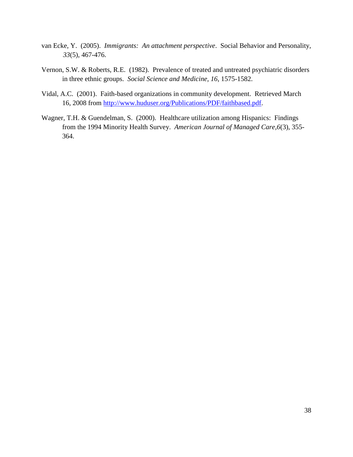- van Ecke, Y. (2005). *Immigrants: An attachment perspective*. Social Behavior and Personality, *33*(5), 467-476.
- Vernon, S.W. & Roberts, R.E. (1982). Prevalence of treated and untreated psychiatric disorders in three ethnic groups. *Social Science and Medicine, 16*, 1575-1582.
- Vidal, A.C. (2001). Faith-based organizations in community development. Retrieved March 16, 2008 from [http://www.huduser.org/Publications/PDF/faithbased.pdf.](http://www.huduser.org/Publications/PDF/faithbased.pdf)
- Wagner, T.H. & Guendelman, S. (2000). Healthcare utilization among Hispanics: Findings from the 1994 Minority Health Survey. *American Journal of Managed Care,6*(3), 355- 364.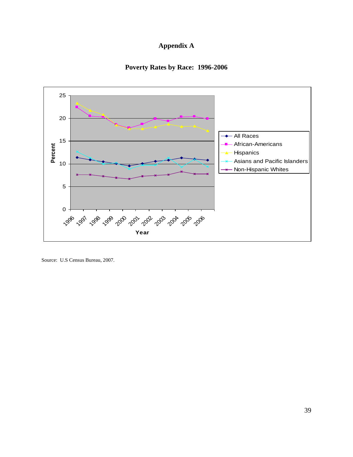# **Appendix A**





Source: U.S Census Bureau, 2007.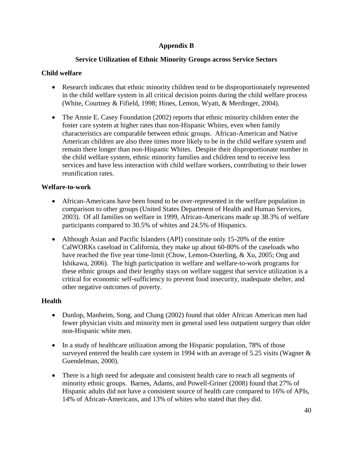# **Appendix B**

# **Service Utilization of Ethnic Minority Groups across Service Sectors**

# **Child welfare**

- Research indicates that ethnic minority children tend to be disproportionately represented in the child welfare system in all critical decision points during the child welfare process (White, Courtney & Fifield, 1998; Hines, Lemon, Wyatt, & Merdinger, 2004).
- The Annie E. Casey Foundation (2002) reports that ethnic minority children enter the foster care system at higher rates than non-Hispanic Whites, even when family characteristics are comparable between ethnic groups. African-American and Native American children are also three times more likely to be in the child welfare system and remain there longer than non-Hispanic Whites. Despite their disproportionate number in the child welfare system, ethnic minority families and children tend to receive less services and have less interaction with child welfare workers, contributing to their lower reunification rates.

# **Welfare-to-work**

- African-Americans have been found to be over-represented in the welfare population in comparison to other groups (United States Department of Health and Human Services, 2003). Of all families on welfare in 1999, African-Americans made up 38.3% of welfare participants compared to 30.5% of whites and 24.5% of Hispanics.
- Although Asian and Pacific Islanders (API) constitute only 15-20% of the entire CalWORKs caseload in California, they make up about 60-80% of the caseloads who have reached the five year time-limit (Chow, Lemon-Osterling, & Xu, 2005; Ong and Ishikawa, 2006). The high participation in welfare and welfare-to-work programs for these ethnic groups and their lengthy stays on welfare suggest that service utilization is a critical for economic self-sufficiency to prevent food insecurity, inadequate shelter, and other negative outcomes of poverty.

# **Health**

- Dunlop, Manheim, Song, and Chang (2002) found that older African American men had fewer physician visits and minority men in general used less outpatient surgery than older non-Hispanic white men.
- In a study of healthcare utilization among the Hispanic population, 78% of those surveyed entered the health care system in 1994 with an average of 5.25 visits (Wagner  $\&$ Guendelman, 2000).
- There is a high need for adequate and consistent health care to reach all segments of minority ethnic groups. Barnes, Adams, and Powell-Griner (2008) found that 27% of Hispanic adults did not have a consistent source of health care compared to 16% of APIs, 14% of African-Americans, and 13% of whites who stated that they did.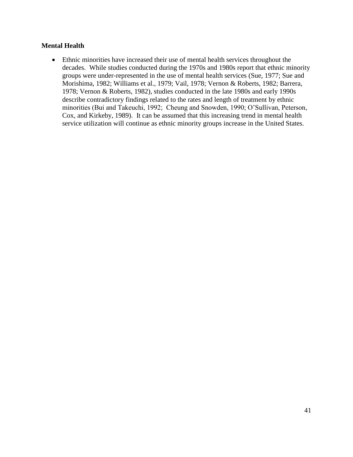# **Mental Health**

 Ethnic minorities have increased their use of mental health services throughout the decades. While studies conducted during the 1970s and 1980s report that ethnic minority groups were under-represented in the use of mental health services (Sue, 1977; Sue and Morishima, 1982; Williams et al., 1979; Vail, 1978; Vernon & Roberts, 1982; Barrera, 1978; Vernon & Roberts, 1982), studies conducted in the late 1980s and early 1990s describe contradictory findings related to the rates and length of treatment by ethnic minorities (Bui and Takeuchi, 1992; Cheung and Snowden, 1990; O'Sullivan, Peterson, Cox, and Kirkeby, 1989). It can be assumed that this increasing trend in mental health service utilization will continue as ethnic minority groups increase in the United States.